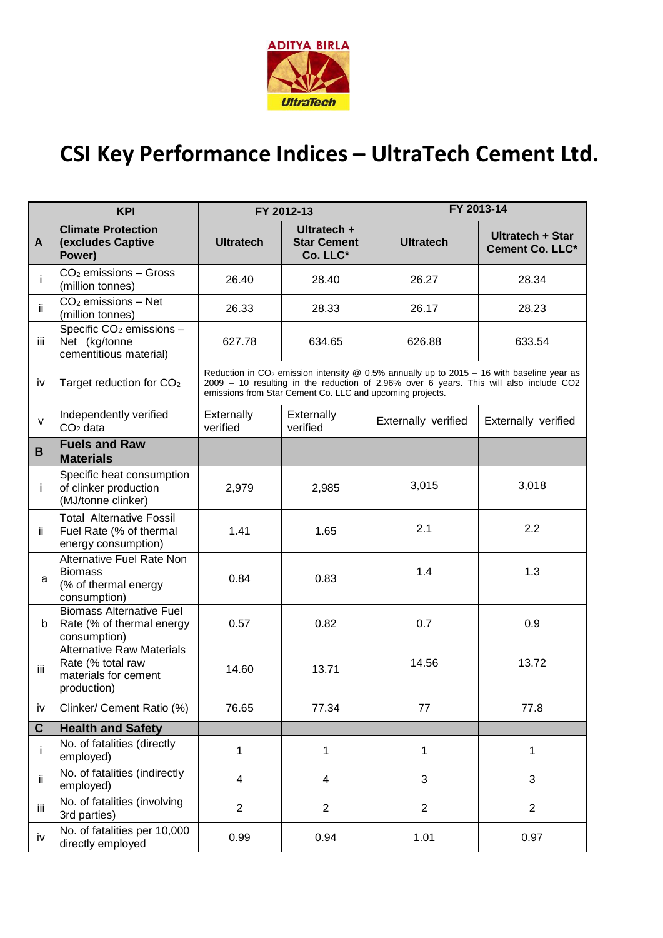

## **CSI Key Performance Indices – UltraTech Cement Ltd.**

|              | <b>KPI</b>                                                                                   | FY 2012-13                                                                                                                                                                                                                                                   |                                               | FY 2013-14          |                                     |  |
|--------------|----------------------------------------------------------------------------------------------|--------------------------------------------------------------------------------------------------------------------------------------------------------------------------------------------------------------------------------------------------------------|-----------------------------------------------|---------------------|-------------------------------------|--|
| $\mathbf{A}$ | <b>Climate Protection</b><br>(excludes Captive<br>Power)                                     | <b>Ultratech</b>                                                                                                                                                                                                                                             | Ultratech +<br><b>Star Cement</b><br>Co. LLC* | <b>Ultratech</b>    | Ultratech + Star<br>Cement Co. LLC* |  |
| j.           | $CO2$ emissions - Gross<br>(million tonnes)                                                  | 26.40                                                                                                                                                                                                                                                        | 28.40                                         | 26.27               | 28.34                               |  |
| ii.          | $CO2$ emissions - Net<br>(million tonnes)                                                    | 26.33                                                                                                                                                                                                                                                        | 28.33                                         | 26.17               | 28.23                               |  |
| Ш            | Specific CO <sub>2</sub> emissions -<br>Net (kg/tonne<br>cementitious material)              | 627.78                                                                                                                                                                                                                                                       | 634.65                                        | 626.88              | 633.54                              |  |
| iv           | Target reduction for CO <sub>2</sub>                                                         | Reduction in CO <sub>2</sub> emission intensity @ 0.5% annually up to 2015 - 16 with baseline year as<br>2009 - 10 resulting in the reduction of 2.96% over 6 years. This will also include CO2<br>emissions from Star Cement Co. LLC and upcoming projects. |                                               |                     |                                     |  |
| $\mathsf{V}$ | Independently verified<br>$CO2$ data                                                         | Externally<br>verified                                                                                                                                                                                                                                       | Externally<br>verified                        | Externally verified | Externally verified                 |  |
| B            | <b>Fuels and Raw</b><br><b>Materials</b>                                                     |                                                                                                                                                                                                                                                              |                                               |                     |                                     |  |
| j.           | Specific heat consumption<br>of clinker production<br>(MJ/tonne clinker)                     | 2,979                                                                                                                                                                                                                                                        | 2,985                                         | 3,015               | 3,018                               |  |
| ii.          | <b>Total Alternative Fossil</b><br>Fuel Rate (% of thermal<br>energy consumption)            | 1.41                                                                                                                                                                                                                                                         | 1.65                                          | 2.1                 | 2.2                                 |  |
| a            | Alternative Fuel Rate Non<br><b>Biomass</b><br>(% of thermal energy<br>consumption)          | 0.84                                                                                                                                                                                                                                                         | 0.83                                          | 1.4                 | 1.3                                 |  |
| b            | <b>Biomass Alternative Fuel</b><br>Rate (% of thermal energy<br>consumption)                 | 0.57                                                                                                                                                                                                                                                         | 0.82                                          | 0.7                 | 0.9                                 |  |
| iii          | <b>Alternative Raw Materials</b><br>Rate (% total raw<br>materials for cement<br>production) | 14.60                                                                                                                                                                                                                                                        | 13.71                                         | 14.56               | 13.72                               |  |
| iv           | Clinker/ Cement Ratio (%)                                                                    | 76.65                                                                                                                                                                                                                                                        | 77.34                                         | 77                  | 77.8                                |  |
| $\mathbf{C}$ | <b>Health and Safety</b>                                                                     |                                                                                                                                                                                                                                                              |                                               |                     |                                     |  |
| i            | No. of fatalities (directly<br>employed)                                                     | 1                                                                                                                                                                                                                                                            | 1                                             | $\mathbf{1}$        | $\mathbf{1}$                        |  |
| ij.          | No. of fatalities (indirectly<br>employed)                                                   | 4                                                                                                                                                                                                                                                            | $\overline{4}$                                | 3                   | 3                                   |  |
| iii          | No. of fatalities (involving<br>3rd parties)                                                 | $\overline{2}$                                                                                                                                                                                                                                               | $\overline{2}$                                | $\overline{2}$      | $\overline{2}$                      |  |
| iv           | No. of fatalities per 10,000<br>directly employed                                            | 0.99                                                                                                                                                                                                                                                         | 0.94                                          | 1.01                | 0.97                                |  |